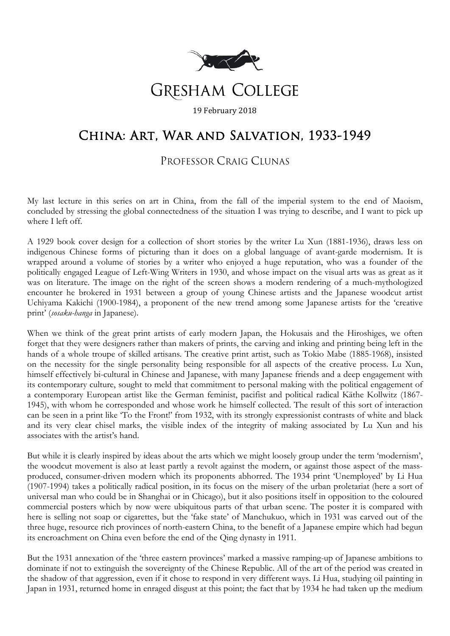

## China: Art, War and Salvation, 1933-1949

## PROFESSOR CRAIG CLUNAS

My last lecture in this series on art in China, from the fall of the imperial system to the end of Maoism, concluded by stressing the global connectedness of the situation I was trying to describe, and I want to pick up where I left off.

A 1929 book cover design for a collection of short stories by the writer Lu Xun (1881-1936), draws less on indigenous Chinese forms of picturing than it does on a global language of avant-garde modernism. It is wrapped around a volume of stories by a writer who enjoyed a huge reputation, who was a founder of the politically engaged League of Left-Wing Writers in 1930, and whose impact on the visual arts was as great as it was on literature. The image on the right of the screen shows a modern rendering of a much-mythologized encounter he brokered in 1931 between a group of young Chinese artists and the Japanese woodcut artist Uchiyama Kakichi (1900-1984), a proponent of the new trend among some Japanese artists for the 'creative print' (*sosaku-hanga* in Japanese).

When we think of the great print artists of early modern Japan, the Hokusais and the Hiroshiges, we often forget that they were designers rather than makers of prints, the carving and inking and printing being left in the hands of a whole troupe of skilled artisans. The creative print artist, such as Tokio Mabe (1885-1968), insisted on the necessity for the single personality being responsible for all aspects of the creative process. Lu Xun, himself effectively bi-cultural in Chinese and Japanese, with many Japanese friends and a deep engagement with its contemporary culture, sought to meld that commitment to personal making with the political engagement of a contemporary European artist like the German feminist, pacifist and political radical Käthe Kollwitz (1867- 1945), with whom he corresponded and whose work he himself collected. The result of this sort of interaction can be seen in a print like 'To the Front!' from 1932, with its strongly expressionist contrasts of white and black and its very clear chisel marks, the visible index of the integrity of making associated by Lu Xun and his associates with the artist's hand.

But while it is clearly inspired by ideas about the arts which we might loosely group under the term 'modernism', the woodcut movement is also at least partly a revolt against the modern, or against those aspect of the massproduced, consumer-driven modern which its proponents abhorred. The 1934 print 'Unemployed' by Li Hua (1907-1994) takes a politically radical position, in its focus on the misery of the urban proletariat (here a sort of universal man who could be in Shanghai or in Chicago), but it also positions itself in opposition to the coloured commercial posters which by now were ubiquitous parts of that urban scene. The poster it is compared with here is selling not soap or cigarettes, but the 'fake state' of Manchukuo, which in 1931 was carved out of the three huge, resource rich provinces of north-eastern China, to the benefit of a Japanese empire which had begun its encroachment on China even before the end of the Qing dynasty in 1911.

But the 1931 annexation of the 'three eastern provinces' marked a massive ramping-up of Japanese ambitions to dominate if not to extinguish the sovereignty of the Chinese Republic. All of the art of the period was created in the shadow of that aggression, even if it chose to respond in very different ways. Li Hua, studying oil painting in Japan in 1931, returned home in enraged disgust at this point; the fact that by 1934 he had taken up the medium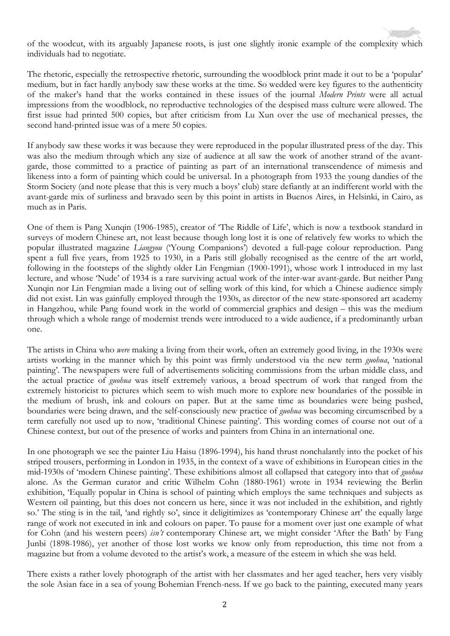of the woodcut, with its arguably Japanese roots, is just one slightly ironic example of the complexity which individuals had to negotiate.

The rhetoric, especially the retrospective rhetoric, surrounding the woodblock print made it out to be a 'popular' medium, but in fact hardly anybody saw these works at the time. So wedded were key figures to the authenticity of the maker's hand that the works contained in these issues of the journal *Modern Prints* were all actual impressions from the woodblock, no reproductive technologies of the despised mass culture were allowed. The first issue had printed 500 copies, but after criticism from Lu Xun over the use of mechanical presses, the second hand-printed issue was of a mere 50 copies.

If anybody saw these works it was because they were reproduced in the popular illustrated press of the day. This was also the medium through which any size of audience at all saw the work of another strand of the avantgarde, those committed to a practice of painting as part of an international transcendence of mimesis and likeness into a form of painting which could be universal. In a photograph from 1933 the young dandies of the Storm Society (and note please that this is very much a boys' club) stare defiantly at an indifferent world with the avant-garde mix of surliness and bravado seen by this point in artists in Buenos Aires, in Helsinki, in Cairo, as much as in Paris.

One of them is Pang Xunqin (1906-1985), creator of 'The Riddle of Life', which is now a textbook standard in surveys of modern Chinese art, not least because though long lost it is one of relatively few works to which the popular illustrated magazine *Liangyou* ('Young Companions') devoted a full-page colour reproduction. Pang spent a full five years, from 1925 to 1930, in a Paris still globally recognised as the centre of the art world, following in the footsteps of the slightly older Lin Fengmian (1900-1991), whose work I introduced in my last lecture, and whose 'Nude' of 1934 is a rare surviving actual work of the inter-war avant-garde. But neither Pang Xunqin nor Lin Fengmian made a living out of selling work of this kind, for which a Chinese audience simply did not exist. Lin was gainfully employed through the 1930s, as director of the new state-sponsored art academy in Hangzhou, while Pang found work in the world of commercial graphics and design – this was the medium through which a whole range of modernist trends were introduced to a wide audience, if a predominantly urban one.

The artists in China who *were* making a living from their work, often an extremely good living, in the 1930s were artists working in the manner which by this point was firmly understood via the new term *guohua*, 'national painting'. The newspapers were full of advertisements soliciting commissions from the urban middle class, and the actual practice of *guohua* was itself extremely various, a broad spectrum of work that ranged from the extremely historicist to pictures which seem to wish much more to explore new boundaries of the possible in the medium of brush, ink and colours on paper. But at the same time as boundaries were being pushed, boundaries were being drawn, and the self-consciously new practice of *guohua* was becoming circumscribed by a term carefully not used up to now, 'traditional Chinese painting'. This wording comes of course not out of a Chinese context, but out of the presence of works and painters from China in an international one.

In one photograph we see the painter Liu Haisu (1896-1994), his hand thrust nonchalantly into the pocket of his striped trousers, performing in London in 1935, in the context of a wave of exhibitions in European cities in the mid-1930s of 'modern Chinese painting'. These exhibitions almost all collapsed that category into that of *guohua* alone. As the German curator and critic Wilhelm Cohn (1880-1961) wrote in 1934 reviewing the Berlin exhibition, 'Equally popular in China is school of painting which employs the same techniques and subjects as Western oil painting, but this does not concern us here, since it was not included in the exhibition, and rightly so.' The sting is in the tail, 'and rightly so', since it deligitimizes as 'contemporary Chinese art' the equally large range of work not executed in ink and colours on paper. To pause for a moment over just one example of what for Cohn (and his western peers) *isn't* contemporary Chinese art, we might consider 'After the Bath' by Fang Junbi (1898-1986), yet another of those lost works we know only from reproduction, this time not from a magazine but from a volume devoted to the artist's work, a measure of the esteem in which she was held.

There exists a rather lovely photograph of the artist with her classmates and her aged teacher, hers very visibly the sole Asian face in a sea of young Bohemian French-ness. If we go back to the painting, executed many years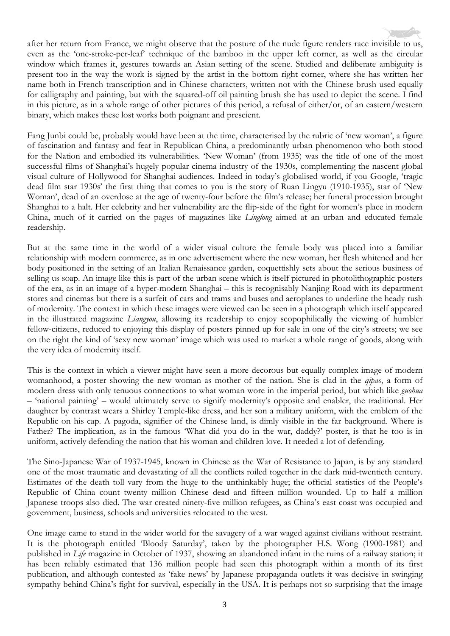after her return from France, we might observe that the posture of the nude figure renders race invisible to us, even as the 'one-stroke-per-leaf' technique of the bamboo in the upper left corner, as well as the circular window which frames it, gestures towards an Asian setting of the scene. Studied and deliberate ambiguity is present too in the way the work is signed by the artist in the bottom right corner, where she has written her name both in French transcription and in Chinese characters, written not with the Chinese brush used equally for calligraphy and painting, but with the squared-off oil painting brush she has used to depict the scene. I find in this picture, as in a whole range of other pictures of this period, a refusal of either/or, of an eastern/western binary, which makes these lost works both poignant and prescient.

Fang Junbi could be, probably would have been at the time, characterised by the rubric of 'new woman', a figure of fascination and fantasy and fear in Republican China, a predominantly urban phenomenon who both stood for the Nation and embodied its vulnerabilities. 'New Woman' (from 1935) was the title of one of the most successful films of Shanghai's hugely popular cinema industry of the 1930s, complementing the nascent global visual culture of Hollywood for Shanghai audiences. Indeed in today's globalised world, if you Google, 'tragic dead film star 1930s' the first thing that comes to you is the story of Ruan Lingyu (1910-1935), star of 'New Woman', dead of an overdose at the age of twenty-four before the film's release; her funeral procession brought Shanghai to a halt. Her celebrity and her vulnerability are the flip-side of the fight for women's place in modern China, much of it carried on the pages of magazines like *Linglong* aimed at an urban and educated female readership.

But at the same time in the world of a wider visual culture the female body was placed into a familiar relationship with modern commerce, as in one advertisement where the new woman, her flesh whitened and her body positioned in the setting of an Italian Renaissance garden, coquettishly sets about the serious business of selling us soap. An image like this is part of the urban scene which is itself pictured in photolithographic posters of the era, as in an image of a hyper-modern Shanghai – this is recognisably Nanjing Road with its department stores and cinemas but there is a surfeit of cars and trams and buses and aeroplanes to underline the heady rush of modernity. The context in which these images were viewed can be seen in a photograph which itself appeared in the illustrated magazine *Liangyou*, allowing its readership to enjoy scopophilically the viewing of humbler fellow-citizens, reduced to enjoying this display of posters pinned up for sale in one of the city's streets; we see on the right the kind of 'sexy new woman' image which was used to market a whole range of goods, along with the very idea of modernity itself.

This is the context in which a viewer might have seen a more decorous but equally complex image of modern womanhood, a poster showing the new woman as mother of the nation. She is clad in the *qipao*, a form of modern dress with only tenuous connections to what woman wore in the imperial period, but which like *guohua* – 'national painting' – would ultimately serve to signify modernity's opposite and enabler, the traditional. Her daughter by contrast wears a Shirley Temple-like dress, and her son a military uniform, with the emblem of the Republic on his cap. A pagoda, signifier of the Chinese land, is dimly visible in the far background. Where is Father? The implication, as in the famous 'What did you do in the war, daddy?' poster, is that he too is in uniform, actively defending the nation that his woman and children love. It needed a lot of defending.

The Sino-Japanese War of 1937-1945, known in Chinese as the War of Resistance to Japan, is by any standard one of the most traumatic and devastating of all the conflicts roiled together in the dark mid-twentieth century. Estimates of the death toll vary from the huge to the unthinkably huge; the official statistics of the People's Republic of China count twenty million Chinese dead and fifteen million wounded. Up to half a million Japanese troops also died. The war created ninety-five million refugees, as China's east coast was occupied and government, business, schools and universities relocated to the west.

One image came to stand in the wider world for the savagery of a war waged against civilians without restraint. It is the photograph entitled 'Bloody Saturday', taken by the photographer H.S. Wong (1900-1981) and published in *Life* magazine in October of 1937, showing an abandoned infant in the ruins of a railway station; it has been reliably estimated that 136 million people had seen this photograph within a month of its first publication, and although contested as 'fake news' by Japanese propaganda outlets it was decisive in swinging sympathy behind China's fight for survival, especially in the USA. It is perhaps not so surprising that the image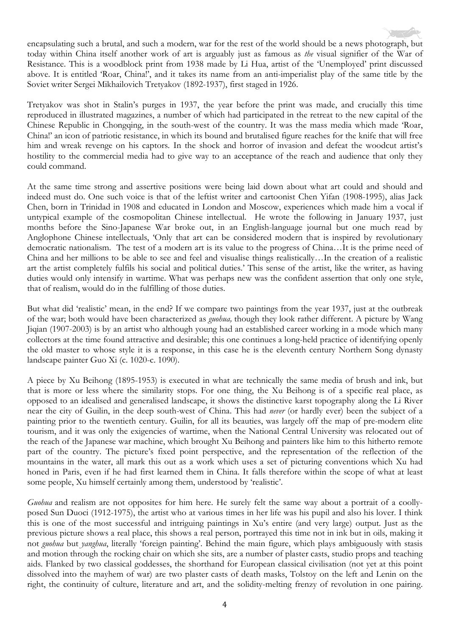encapsulating such a brutal, and such a modern, war for the rest of the world should be a news photograph, but today within China itself another work of art is arguably just as famous as *the* visual signifier of the War of Resistance. This is a woodblock print from 1938 made by Li Hua, artist of the 'Unemployed' print discussed above. It is entitled 'Roar, China!', and it takes its name from an anti-imperialist play of the same title by the Soviet writer Sergei Mikhailovich Tretyakov (1892-1937), first staged in 1926.

Tretyakov was shot in Stalin's purges in 1937, the year before the print was made, and crucially this time reproduced in illustrated magazines, a number of which had participated in the retreat to the new capital of the Chinese Republic in Chongqing, in the south-west of the country. It was the mass media which made 'Roar, China!' an icon of patriotic resistance, in which its bound and brutalised figure reaches for the knife that will free him and wreak revenge on his captors. In the shock and horror of invasion and defeat the woodcut artist's hostility to the commercial media had to give way to an acceptance of the reach and audience that only they could command.

At the same time strong and assertive positions were being laid down about what art could and should and indeed must do. One such voice is that of the leftist writer and cartoonist Chen Yifan (1908-1995), alias Jack Chen, born in Trinidad in 1908 and educated in London and Moscow, experiences which made him a vocal if untypical example of the cosmopolitan Chinese intellectual. He wrote the following in January 1937, just months before the Sino-Japanese War broke out, in an English-language journal but one much read by Anglophone Chinese intellectuals, 'Only that art can be considered modern that is inspired by revolutionary democratic nationalism. The test of a modern art is its value to the progress of China…It is the prime need of China and her millions to be able to see and feel and visualise things realistically…In the creation of a realistic art the artist completely fulfils his social and political duties.' This sense of the artist, like the writer, as having duties would only intensify in wartime. What was perhaps new was the confident assertion that only one style, that of realism, would do in the fulfilling of those duties.

But what did 'realistic' mean, in the end? If we compare two paintings from the year 1937, just at the outbreak of the war; both would have been characterized as *guohua,* though they look rather different. A picture by Wang Jiqian (1907-2003) is by an artist who although young had an established career working in a mode which many collectors at the time found attractive and desirable; this one continues a long-held practice of identifying openly the old master to whose style it is a response, in this case he is the eleventh century Northern Song dynasty landscape painter Guo Xi (c. 1020-c. 1090).

A piece by Xu Beihong (1895-1953) is executed in what are technically the same media of brush and ink, but that is more or less where the similarity stops. For one thing, the Xu Beihong is of a specific real place, as opposed to an idealised and generalised landscape, it shows the distinctive karst topography along the Li River near the city of Guilin, in the deep south-west of China. This had *never* (or hardly ever) been the subject of a painting prior to the twentieth century. Guilin, for all its beauties, was largely off the map of pre-modern elite tourism, and it was only the exigencies of wartime, when the National Central University was relocated out of the reach of the Japanese war machine, which brought Xu Beihong and painters like him to this hitherto remote part of the country. The picture's fixed point perspective, and the representation of the reflection of the mountains in the water, all mark this out as a work which uses a set of picturing conventions which Xu had honed in Paris, even if he had first learned them in China. It falls therefore within the scope of what at least some people, Xu himself certainly among them, understood by 'realistic'.

*Guohua* and realism are not opposites for him here. He surely felt the same way about a portrait of a coollyposed Sun Duoci (1912-1975), the artist who at various times in her life was his pupil and also his lover. I think this is one of the most successful and intriguing paintings in Xu's entire (and very large) output. Just as the previous picture shows a real place, this shows a real person, portrayed this time not in ink but in oils, making it not *guohua* but *yanghua*, literally 'foreign painting'. Behind the main figure, which plays ambiguously with stasis and motion through the rocking chair on which she sits, are a number of plaster casts, studio props and teaching aids. Flanked by two classical goddesses, the shorthand for European classical civilisation (not yet at this point dissolved into the mayhem of war) are two plaster casts of death masks, Tolstoy on the left and Lenin on the right, the continuity of culture, literature and art, and the solidity-melting frenzy of revolution in one pairing.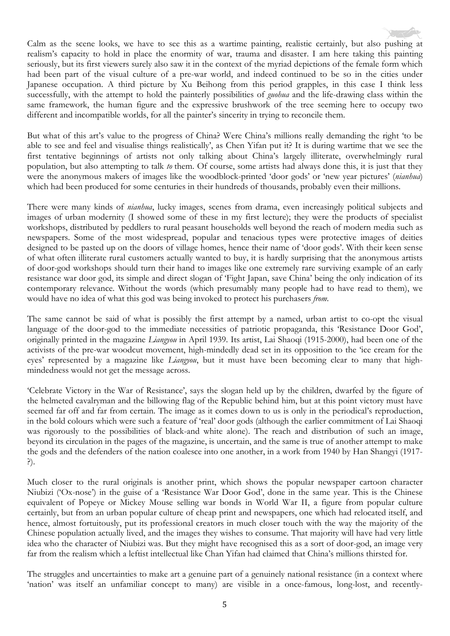Calm as the scene looks, we have to see this as a wartime painting, realistic certainly, but also pushing at realism's capacity to hold in place the enormity of war, trauma and disaster. I am here taking this painting seriously, but its first viewers surely also saw it in the context of the myriad depictions of the female form which had been part of the visual culture of a pre-war world, and indeed continued to be so in the cities under Japanese occupation. A third picture by Xu Beihong from this period grapples, in this case I think less successfully, with the attempt to hold the painterly possibilities of *guohua* and the life-drawing class within the same framework, the human figure and the expressive brushwork of the tree seeming here to occupy two different and incompatible worlds, for all the painter's sincerity in trying to reconcile them.

But what of this art's value to the progress of China? Were China's millions really demanding the right 'to be able to see and feel and visualise things realistically', as Chen Yifan put it? It is during wartime that we see the first tentative beginnings of artists not only talking about China's largely illiterate, overwhelmingly rural population, but also attempting to talk *to* them. Of course, some artists had always done this, it is just that they were the anonymous makers of images like the woodblock-printed 'door gods' or 'new year pictures' (*nianhua*) which had been produced for some centuries in their hundreds of thousands, probably even their millions.

There were many kinds of *nianhua*, lucky images, scenes from drama, even increasingly political subjects and images of urban modernity (I showed some of these in my first lecture); they were the products of specialist workshops, distributed by peddlers to rural peasant households well beyond the reach of modern media such as newspapers. Some of the most widespread, popular and tenacious types were protective images of deities designed to be pasted up on the doors of village homes, hence their name of 'door gods'. With their keen sense of what often illiterate rural customers actually wanted to buy, it is hardly surprising that the anonymous artists of door-god workshops should turn their hand to images like one extremely rare surviving example of an early resistance war door god, its simple and direct slogan of 'Fight Japan, save China' being the only indication of its contemporary relevance. Without the words (which presumably many people had to have read to them), we would have no idea of what this god was being invoked to protect his purchasers *from*.

The same cannot be said of what is possibly the first attempt by a named, urban artist to co-opt the visual language of the door-god to the immediate necessities of patriotic propaganda, this 'Resistance Door God', originally printed in the magazine *Liangyou* in April 1939. Its artist, Lai Shaoqi (1915-2000), had been one of the activists of the pre-war woodcut movement, high-mindedly dead set in its opposition to the 'ice cream for the eyes' represented by a magazine like *Liangyou*, but it must have been becoming clear to many that highmindedness would not get the message across.

'Celebrate Victory in the War of Resistance', says the slogan held up by the children, dwarfed by the figure of the helmeted cavalryman and the billowing flag of the Republic behind him, but at this point victory must have seemed far off and far from certain. The image as it comes down to us is only in the periodical's reproduction, in the bold colours which were such a feature of 'real' door gods (although the earlier commitment of Lai Shaoqi was rigorously to the possibilities of black-and white alone). The reach and distribution of such an image, beyond its circulation in the pages of the magazine, is uncertain, and the same is true of another attempt to make the gods and the defenders of the nation coalesce into one another, in a work from 1940 by Han Shangyi (1917- ?).

Much closer to the rural originals is another print, which shows the popular newspaper cartoon character Niubizi ('Ox-nose') in the guise of a 'Resistance War Door God', done in the same year. This is the Chinese equivalent of Popeye or Mickey Mouse selling war bonds in World War II, a figure from popular culture certainly, but from an urban popular culture of cheap print and newspapers, one which had relocated itself, and hence, almost fortuitously, put its professional creators in much closer touch with the way the majority of the Chinese population actually lived, and the images they wishes to consume. That majority will have had very little idea who the character of Niubizi was. But they might have recognised this as a sort of door-god, an image very far from the realism which a leftist intellectual like Chan Yifan had claimed that China's millions thirsted for.

The struggles and uncertainties to make art a genuine part of a genuinely national resistance (in a context where 'nation' was itself an unfamiliar concept to many) are visible in a once-famous, long-lost, and recently-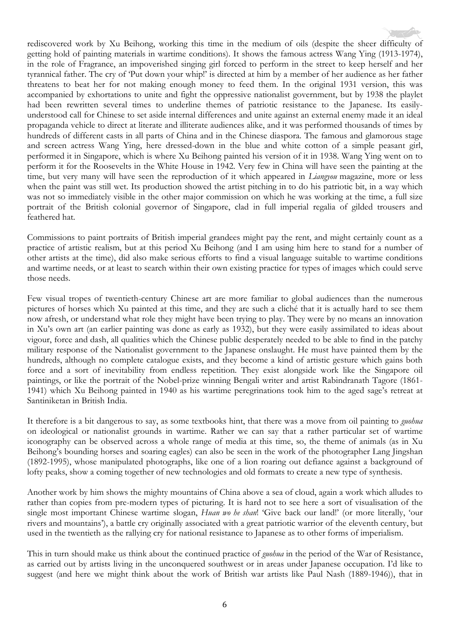

Commissions to paint portraits of British imperial grandees might pay the rent, and might certainly count as a practice of artistic realism, but at this period Xu Beihong (and I am using him here to stand for a number of other artists at the time), did also make serious efforts to find a visual language suitable to wartime conditions and wartime needs, or at least to search within their own existing practice for types of images which could serve those needs.

Few visual tropes of twentieth-century Chinese art are more familiar to global audiences than the numerous pictures of horses which Xu painted at this time, and they are such a cliché that it is actually hard to see them now afresh, or understand what role they might have been trying to play. They were by no means an innovation in Xu's own art (an earlier painting was done as early as 1932), but they were easily assimilated to ideas about vigour, force and dash, all qualities which the Chinese public desperately needed to be able to find in the patchy military response of the Nationalist government to the Japanese onslaught. He must have painted them by the hundreds, although no complete catalogue exists, and they become a kind of artistic gesture which gains both force and a sort of inevitability from endless repetition. They exist alongside work like the Singapore oil paintings, or like the portrait of the Nobel-prize winning Bengali writer and artist Rabindranath Tagore (1861- 1941) which Xu Beihong painted in 1940 as his wartime peregrinations took him to the aged sage's retreat at Santiniketan in British India.

It therefore is a bit dangerous to say, as some textbooks hint, that there was a move from oil painting to *guohua* on ideological or nationalist grounds in wartime. Rather we can say that a rather particular set of wartime iconography can be observed across a whole range of media at this time, so, the theme of animals (as in Xu Beihong's bounding horses and soaring eagles) can also be seen in the work of the photographer Lang Jingshan (1892-1995), whose manipulated photographs, like one of a lion roaring out defiance against a background of lofty peaks, show a coming together of new technologies and old formats to create a new type of synthesis.

Another work by him shows the mighty mountains of China above a sea of cloud, again a work which alludes to rather than copies from pre-modern types of picturing. It is hard not to see here a sort of visualisation of the single most important Chinese wartime slogan, *Huan wo he shan*! 'Give back our land!' (or more literally, 'our rivers and mountains'), a battle cry originally associated with a great patriotic warrior of the eleventh century, but used in the twentieth as the rallying cry for national resistance to Japanese as to other forms of imperialism.

This in turn should make us think about the continued practice of *guohua* in the period of the War of Resistance, as carried out by artists living in the unconquered southwest or in areas under Japanese occupation. I'd like to suggest (and here we might think about the work of British war artists like Paul Nash (1889-1946)), that in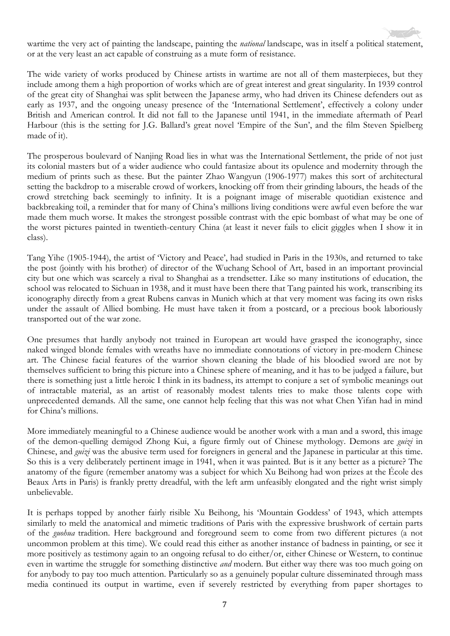wartime the very act of painting the landscape, painting the *national* landscape, was in itself a political statement, or at the very least an act capable of construing as a mute form of resistance.

The wide variety of works produced by Chinese artists in wartime are not all of them masterpieces, but they include among them a high proportion of works which are of great interest and great singularity. In 1939 control of the great city of Shanghai was split between the Japanese army, who had driven its Chinese defenders out as early as 1937, and the ongoing uneasy presence of the 'International Settlement', effectively a colony under British and American control. It did not fall to the Japanese until 1941, in the immediate aftermath of Pearl Harbour (this is the setting for J.G. Ballard's great novel 'Empire of the Sun', and the film Steven Spielberg made of it).

The prosperous boulevard of Nanjing Road lies in what was the International Settlement, the pride of not just its colonial masters but of a wider audience who could fantasize about its opulence and modernity through the medium of prints such as these. But the painter Zhao Wangyun (1906-1977) makes this sort of architectural setting the backdrop to a miserable crowd of workers, knocking off from their grinding labours, the heads of the crowd stretching back seemingly to infinity. It is a poignant image of miserable quotidian existence and backbreaking toil, a reminder that for many of China's millions living conditions were awful even before the war made them much worse. It makes the strongest possible contrast with the epic bombast of what may be one of the worst pictures painted in twentieth-century China (at least it never fails to elicit giggles when I show it in class).

Tang Yihe (1905-1944), the artist of 'Victory and Peace', had studied in Paris in the 1930s, and returned to take the post (jointly with his brother) of director of the Wuchang School of Art, based in an important provincial city but one which was scarcely a rival to Shanghai as a trendsetter. Like so many institutions of education, the school was relocated to Sichuan in 1938, and it must have been there that Tang painted his work, transcribing its iconography directly from a great Rubens canvas in Munich which at that very moment was facing its own risks under the assault of Allied bombing. He must have taken it from a postcard, or a precious book laboriously transported out of the war zone.

One presumes that hardly anybody not trained in European art would have grasped the iconography, since naked winged blonde females with wreaths have no immediate connotations of victory in pre-modern Chinese art. The Chinese facial features of the warrior shown cleaning the blade of his bloodied sword are not by themselves sufficient to bring this picture into a Chinese sphere of meaning, and it has to be judged a failure, but there is something just a little heroic I think in its badness, its attempt to conjure a set of symbolic meanings out of intractable material, as an artist of reasonably modest talents tries to make those talents cope with unprecedented demands. All the same, one cannot help feeling that this was not what Chen Yifan had in mind for China's millions.

More immediately meaningful to a Chinese audience would be another work with a man and a sword, this image of the demon-quelling demigod Zhong Kui, a figure firmly out of Chinese mythology. Demons are *guizi* in Chinese, and *guizi* was the abusive term used for foreigners in general and the Japanese in particular at this time. So this is a very deliberately pertinent image in 1941, when it was painted. But is it any better as a picture? The anatomy of the figure (remember anatomy was a subject for which Xu Beihong had won prizes at the École des Beaux Arts in Paris) is frankly pretty dreadful, with the left arm unfeasibly elongated and the right wrist simply unbelievable.

It is perhaps topped by another fairly risible Xu Beihong, his 'Mountain Goddess' of 1943, which attempts similarly to meld the anatomical and mimetic traditions of Paris with the expressive brushwork of certain parts of the *guohua* tradition. Here background and foreground seem to come from two different pictures (a not uncommon problem at this time). We could read this either as another instance of badness in painting, or see it more positively as testimony again to an ongoing refusal to do either/or, either Chinese or Western, to continue even in wartime the struggle for something distinctive *and* modern. But either way there was too much going on for anybody to pay too much attention. Particularly so as a genuinely popular culture disseminated through mass media continued its output in wartime, even if severely restricted by everything from paper shortages to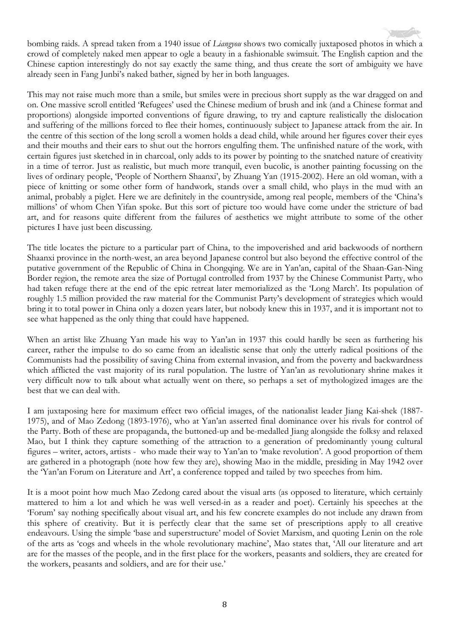bombing raids. A spread taken from a 1940 issue of *Liangyou* shows two comically juxtaposed photos in which a crowd of completely naked men appear to ogle a beauty in a fashionable swimsuit. The English caption and the Chinese caption interestingly do not say exactly the same thing, and thus create the sort of ambiguity we have already seen in Fang Junbi's naked bather, signed by her in both languages.

This may not raise much more than a smile, but smiles were in precious short supply as the war dragged on and on. One massive scroll entitled 'Refugees' used the Chinese medium of brush and ink (and a Chinese format and proportions) alongside imported conventions of figure drawing, to try and capture realistically the dislocation and suffering of the millions forced to flee their homes, continuously subject to Japanese attack from the air. In the centre of this section of the long scroll a women holds a dead child, while around her figures cover their eyes and their mouths and their ears to shut out the horrors engulfing them. The unfinished nature of the work, with certain figures just sketched in in charcoal, only adds to its power by pointing to the snatched nature of creativity in a time of terror. Just as realistic, but much more tranquil, even bucolic, is another painting focussing on the lives of ordinary people, 'People of Northern Shaanxi', by Zhuang Yan (1915-2002). Here an old woman, with a piece of knitting or some other form of handwork, stands over a small child, who plays in the mud with an animal, probably a piglet. Here we are definitely in the countryside, among real people, members of the 'China's millions' of whom Chen Yifan spoke. But this sort of picture too would have come under the stricture of bad art, and for reasons quite different from the failures of aesthetics we might attribute to some of the other pictures I have just been discussing.

The title locates the picture to a particular part of China, to the impoverished and arid backwoods of northern Shaanxi province in the north-west, an area beyond Japanese control but also beyond the effective control of the putative government of the Republic of China in Chongqing. We are in Yan'an, capital of the Shaan-Gan-Ning Border region, the remote area the size of Portugal controlled from 1937 by the Chinese Communist Party, who had taken refuge there at the end of the epic retreat later memorialized as the 'Long March'. Its population of roughly 1.5 million provided the raw material for the Communist Party's development of strategies which would bring it to total power in China only a dozen years later, but nobody knew this in 1937, and it is important not to see what happened as the only thing that could have happened.

When an artist like Zhuang Yan made his way to Yan'an in 1937 this could hardly be seen as furthering his career, rather the impulse to do so came from an idealistic sense that only the utterly radical positions of the Communists had the possibility of saving China from external invasion, and from the poverty and backwardness which afflicted the vast majority of its rural population. The lustre of Yan'an as revolutionary shrine makes it very difficult now to talk about what actually went on there, so perhaps a set of mythologized images are the best that we can deal with.

I am juxtaposing here for maximum effect two official images, of the nationalist leader Jiang Kai-shek (1887- 1975), and of Mao Zedong (1893-1976), who at Yan'an asserted final dominance over his rivals for control of the Party. Both of these are propaganda, the buttoned-up and be-medalled Jiang alongside the folksy and relaxed Mao, but I think they capture something of the attraction to a generation of predominantly young cultural figures – writer, actors, artists - who made their way to Yan'an to 'make revolution'. A good proportion of them are gathered in a photograph (note how few they are), showing Mao in the middle, presiding in May 1942 over the 'Yan'an Forum on Literature and Art', a conference topped and tailed by two speeches from him.

It is a moot point how much Mao Zedong cared about the visual arts (as opposed to literature, which certainly mattered to him a lot and which he was well versed-in as a reader and poet). Certainly his speeches at the 'Forum' say nothing specifically about visual art, and his few concrete examples do not include any drawn from this sphere of creativity. But it is perfectly clear that the same set of prescriptions apply to all creative endeavours. Using the simple 'base and superstructure' model of Soviet Marxism, and quoting Lenin on the role of the arts as 'cogs and wheels in the whole revolutionary machine', Mao states that, 'All our literature and art are for the masses of the people, and in the first place for the workers, peasants and soldiers, they are created for the workers, peasants and soldiers, and are for their use.'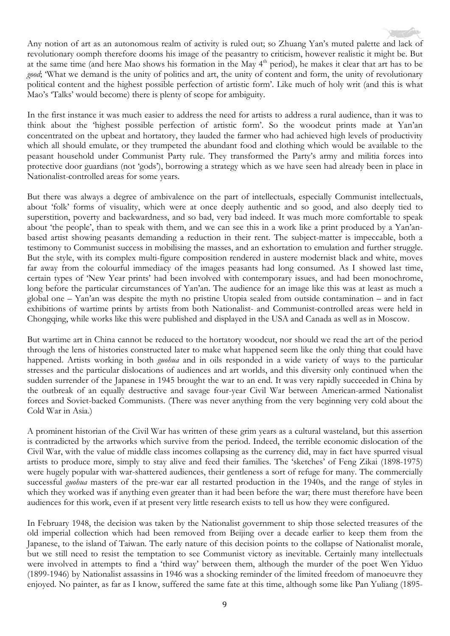Any notion of art as an autonomous realm of activity is ruled out; so Zhuang Yan's muted palette and lack of revolutionary oomph therefore dooms his image of the peasantry to criticism, however realistic it might be. But at the same time (and here Mao shows his formation in the May 4<sup>th</sup> period), he makes it clear that art has to be *good*; 'What we demand is the unity of politics and art, the unity of content and form, the unity of revolutionary political content and the highest possible perfection of artistic form'. Like much of holy writ (and this is what Mao's 'Talks' would become) there is plenty of scope for ambiguity.

In the first instance it was much easier to address the need for artists to address a rural audience, than it was to think about the 'highest possible perfection of artistic form'. So the woodcut prints made at Yan'an concentrated on the upbeat and hortatory, they lauded the farmer who had achieved high levels of productivity which all should emulate, or they trumpeted the abundant food and clothing which would be available to the peasant household under Communist Party rule. They transformed the Party's army and militia forces into protective door guardians (not 'gods'), borrowing a strategy which as we have seen had already been in place in Nationalist-controlled areas for some years.

But there was always a degree of ambivalence on the part of intellectuals, especially Communist intellectuals, about 'folk' forms of visuality, which were at once deeply authentic and so good, and also deeply tied to superstition, poverty and backwardness, and so bad, very bad indeed. It was much more comfortable to speak about 'the people', than to speak with them, and we can see this in a work like a print produced by a Yan'anbased artist showing peasants demanding a reduction in their rent. The subject-matter is impeccable, both a testimony to Communist success in mobilising the masses, and an exhortation to emulation and further struggle. But the style, with its complex multi-figure composition rendered in austere modernist black and white, moves far away from the colourful immediacy of the images peasants had long consumed. As I showed last time, certain types of 'New Year prints' had been involved with contemporary issues, and had been monochrome, long before the particular circumstances of Yan'an. The audience for an image like this was at least as much a global one – Yan'an was despite the myth no pristine Utopia sealed from outside contamination – and in fact exhibitions of wartime prints by artists from both Nationalist- and Communist-controlled areas were held in Chongqing, while works like this were published and displayed in the USA and Canada as well as in Moscow.

But wartime art in China cannot be reduced to the hortatory woodcut, nor should we read the art of the period through the lens of histories constructed later to make what happened seem like the only thing that could have happened. Artists working in both *guohua* and in oils responded in a wide variety of ways to the particular stresses and the particular dislocations of audiences and art worlds, and this diversity only continued when the sudden surrender of the Japanese in 1945 brought the war to an end. It was very rapidly succeeded in China by the outbreak of an equally destructive and savage four-year Civil War between American-armed Nationalist forces and Soviet-backed Communists. (There was never anything from the very beginning very cold about the Cold War in Asia.)

A prominent historian of the Civil War has written of these grim years as a cultural wasteland, but this assertion is contradicted by the artworks which survive from the period. Indeed, the terrible economic dislocation of the Civil War, with the value of middle class incomes collapsing as the currency did, may in fact have spurred visual artists to produce more, simply to stay alive and feed their families. The 'sketches' of Feng Zikai (1898-1975) were hugely popular with war-shattered audiences, their gentleness a sort of refuge for many. The commercially successful *guohua* masters of the pre-war ear all restarted production in the 1940s, and the range of styles in which they worked was if anything even greater than it had been before the war; there must therefore have been audiences for this work, even if at present very little research exists to tell us how they were configured.

In February 1948, the decision was taken by the Nationalist government to ship those selected treasures of the old imperial collection which had been removed from Beijing over a decade earlier to keep them from the Japanese, to the island of Taiwan. The early nature of this decision points to the collapse of Nationalist morale, but we still need to resist the temptation to see Communist victory as inevitable. Certainly many intellectuals were involved in attempts to find a 'third way' between them, although the murder of the poet Wen Yiduo (1899-1946) by Nationalist assassins in 1946 was a shocking reminder of the limited freedom of manoeuvre they enjoyed. No painter, as far as I know, suffered the same fate at this time, although some like Pan Yuliang (1895